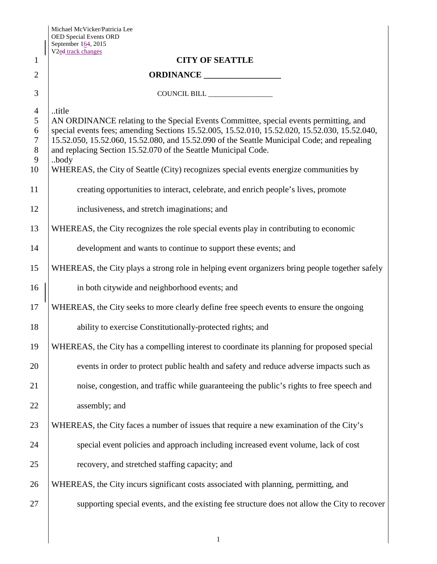|                | September $164$ , 2015<br>V <sub>2ed track changes</sub>                                       |
|----------------|------------------------------------------------------------------------------------------------|
| 1              | <b>CITY OF SEATTLE</b>                                                                         |
| $\overline{2}$ |                                                                                                |
| 3              |                                                                                                |
| $\overline{4}$ | title                                                                                          |
| 5              | AN ORDINANCE relating to the Special Events Committee, special events permitting, and          |
| 6              | special events fees; amending Sections 15.52.005, 15.52.010, 15.52.020, 15.52.030, 15.52.040,  |
| $\overline{7}$ | 15.52.050, 15.52.060, 15.52.080, and 15.52.090 of the Seattle Municipal Code; and repealing    |
| $8\,$<br>9     | and replacing Section 15.52.070 of the Seattle Municipal Code.<br>body                         |
| 10             | WHEREAS, the City of Seattle (City) recognizes special events energize communities by          |
| 11             | creating opportunities to interact, celebrate, and enrich people's lives, promote              |
| 12             | inclusiveness, and stretch imaginations; and                                                   |
| 13             | WHEREAS, the City recognizes the role special events play in contributing to economic          |
| 14             | development and wants to continue to support these events; and                                 |
| 15             | WHEREAS, the City plays a strong role in helping event organizers bring people together safely |
| 16             | in both citywide and neighborhood events; and                                                  |
| 17             | WHEREAS, the City seeks to more clearly define free speech events to ensure the ongoing        |
| 18             | ability to exercise Constitutionally-protected rights; and                                     |
| 19             | WHEREAS, the City has a compelling interest to coordinate its planning for proposed special    |
| 20             | events in order to protect public health and safety and reduce adverse impacts such as         |
| 21             | noise, congestion, and traffic while guaranteeing the public's rights to free speech and       |
| 22             | assembly; and                                                                                  |
| 23             | WHEREAS, the City faces a number of issues that require a new examination of the City's        |
| 24             | special event policies and approach including increased event volume, lack of cost             |
| 25             | recovery, and stretched staffing capacity; and                                                 |
| 26             | WHEREAS, the City incurs significant costs associated with planning, permitting, and           |
| 27             | supporting special events, and the existing fee structure does not allow the City to recover   |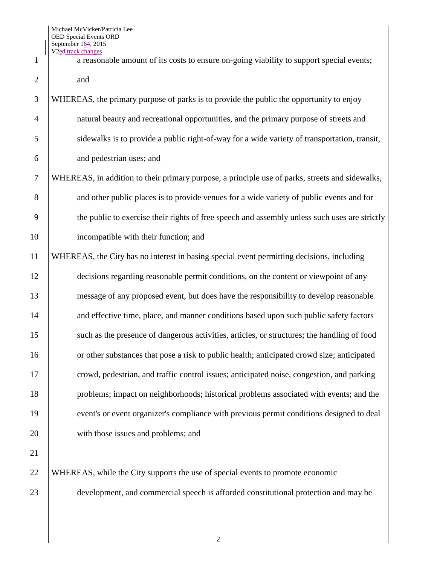$2 \mid$  and WHEREAS, the primary purpose of parks is to provide the public the opportunity to enjoy natural beauty and recreational opportunities, and the primary purpose of streets and sidewalks is to provide a public right-of-way for a wide variety of transportation, transit, and pedestrian uses; and WHEREAS, in addition to their primary purpose, a principle use of parks, streets and sidewalks, 8 and other public places is to provide venues for a wide variety of public events and for 9 the public to exercise their rights of free speech and assembly unless such uses are strictly incompatible with their function; and

1 a reasonable amount of its costs to ensure on-going viability to support special events;

11 WHEREAS, the City has no interest in basing special event permitting decisions, including 12 decisions regarding reasonable permit conditions, on the content or viewpoint of any 13 message of any proposed event, but does have the responsibility to develop reasonable 14 and effective time, place, and manner conditions based upon such public safety factors 15 such as the presence of dangerous activities, articles, or structures; the handling of food 16 or other substances that pose a risk to public health; anticipated crowd size; anticipated 17 crowd, pedestrian, and traffic control issues; anticipated noise, congestion, and parking 18 problems; impact on neighborhoods; historical problems associated with events; and the 19 event's or event organizer's compliance with previous permit conditions designed to deal 20 with those issues and problems; and

21

22 WHEREAS, while the City supports the use of special events to promote economic 23 development, and commercial speech is afforded constitutional protection and may be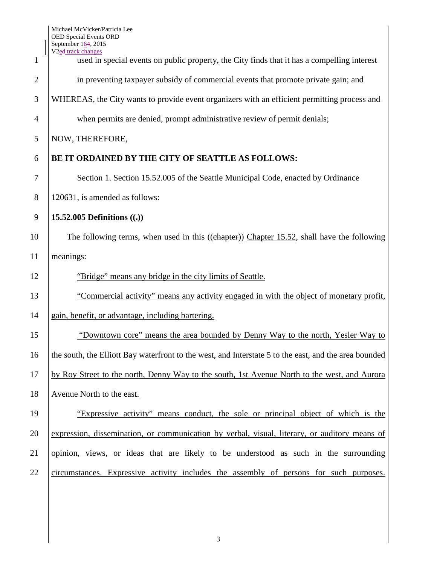| 1              | $Step$ chember 10-7, 2015<br>V <sub>2ed</sub> track changes<br>used in special events on public property, the City finds that it has a compelling interest |
|----------------|------------------------------------------------------------------------------------------------------------------------------------------------------------|
| $\overline{2}$ | in preventing taxpayer subsidy of commercial events that promote private gain; and                                                                         |
| 3              | WHEREAS, the City wants to provide event organizers with an efficient permitting process and                                                               |
| 4              | when permits are denied, prompt administrative review of permit denials;                                                                                   |
| 5              | NOW, THEREFORE,                                                                                                                                            |
|                |                                                                                                                                                            |
| 6              | BE IT ORDAINED BY THE CITY OF SEATTLE AS FOLLOWS:                                                                                                          |
| 7              | Section 1. Section 15.52.005 of the Seattle Municipal Code, enacted by Ordinance                                                                           |
| 8              | 120631, is amended as follows:                                                                                                                             |
| 9              | 15.52.005 Definitions $((.)$                                                                                                                               |
| 10             | The following terms, when used in this ((chapter)) Chapter 15.52, shall have the following                                                                 |
| 11             | meanings:                                                                                                                                                  |
| 12             | "Bridge" means any bridge in the city limits of Seattle.                                                                                                   |
| 13             | "Commercial activity" means any activity engaged in with the object of monetary profit,                                                                    |
| 14             | gain, benefit, or advantage, including bartering.                                                                                                          |
| 15             | "Downtown core" means the area bounded by Denny Way to the north, Yesler Way to                                                                            |
| 16             | the south, the Elliott Bay waterfront to the west, and Interstate 5 to the east, and the area bounded                                                      |
| 17             | by Roy Street to the north, Denny Way to the south, 1st Avenue North to the west, and Aurora                                                               |
| 18             | Avenue North to the east.                                                                                                                                  |
| 19             | "Expressive activity" means conduct, the sole or principal object of which is the                                                                          |
| 20             | expression, dissemination, or communication by verbal, visual, literary, or auditory means of                                                              |
| 21             | opinion, views, or ideas that are likely to be understood as such in the surrounding                                                                       |
| 22             | circumstances. Expressive activity includes the assembly of persons for such purposes.                                                                     |
|                |                                                                                                                                                            |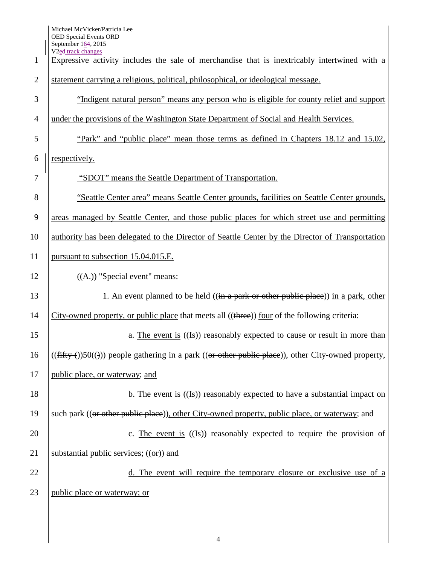| 1              | V <sub>2e</sub> d track changes<br>Expressive activity includes the sale of merchandise that is inextricably intertwined with a |
|----------------|---------------------------------------------------------------------------------------------------------------------------------|
| $\overline{2}$ | statement carrying a religious, political, philosophical, or ideological message.                                               |
| 3              | "Indigent natural person" means any person who is eligible for county relief and support                                        |
| $\overline{4}$ | under the provisions of the Washington State Department of Social and Health Services.                                          |
| 5              | "Park" and "public place" mean those terms as defined in Chapters 18.12 and 15.02,                                              |
| 6              | respectively.                                                                                                                   |
| 7              | "SDOT" means the Seattle Department of Transportation.                                                                          |
| 8              | "Seattle Center area" means Seattle Center grounds, facilities on Seattle Center grounds,                                       |
| 9              | areas managed by Seattle Center, and those public places for which street use and permitting                                    |
| 10             | authority has been delegated to the Director of Seattle Center by the Director of Transportation                                |
| 11             | pursuant to subsection 15.04.015.E.                                                                                             |
| 12             | $((A))$ "Special event" means:                                                                                                  |
| 13             | 1. An event planned to be held $((\text{in a park or other public place}))$ in a park, other                                    |
| 14             | City-owned property, or public place that meets all ((three)) four of the following criteria:                                   |
| 15             | a. The event is $((\text{Is}))$ reasonably expected to cause or result in more than                                             |
| 16             | $((\text{fifty-}))50(())$ people gathering in a park $((\text{or other public place}))$ , other City-owned property,            |
| 17             | public place, or waterway; and                                                                                                  |
| 18             | b. The event is $((\text{Is}))$ reasonably expected to have a substantial impact on                                             |
| 19             | such park ((or other public place)), other City-owned property, public place, or waterway; and                                  |
| 20             | c. The event is $((\text{Is}))$ reasonably expected to require the provision of                                                 |
| 21             | substantial public services; $((\Theta$ <b>r</b> ) and                                                                          |
| 22             | d. The event will require the temporary closure or exclusive use of a                                                           |
| 23             | public place or waterway; or                                                                                                    |
|                |                                                                                                                                 |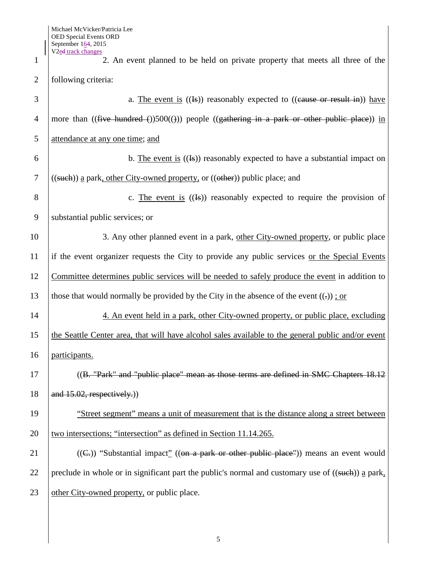1 2. An event planned to be held on private property that meets all three of the 2 following criteria:  $\overline{3}$  a. The event is  $((\overline{1}S))$  reasonably expected to  $((\overline{e}a \overline{a}) \overline{a} \overline{b})$  have 4 | more than  $((\text{five-hundred}())500)())$  people  $((\text{gathering in a park or other public place}))$  in 5 attendance at any one time; and 6 b. The event is  $((\text{Is}))$  reasonably expected to have a substantial impact on 7 ((such)) a park, other City-owned property, or (( $\theta$ ther)) public place; and 8  $\vert$  c. The event is  $(\vert \mathbf{F}\vert)$  reasonably expected to require the provision of 9 Substantial public services; or 10 3. Any other planned event in a park, other City-owned property, or public place 11 if the event organizer requests the City to provide any public services or the Special Events 12 Committee determines public services will be needed to safely produce the event in addition to 13 those that would normally be provided by the City in the absence of the event  $((.)$ ; or 14 14 4. An event held in a park, other City-owned property, or public place, excluding 15 the Seattle Center area, that will have alcohol sales available to the general public and/or event 16 participants. 17 ((B. "Park" and "public place" mean as those terms are defined in SMC Chapters 18.12 18  $\left| \right.$  and 15.02, respectively.) 19 "Street segment" means a unit of measurement that is the distance along a street between 20 v two intersections; "intersection" as defined in Section 11.14.265. 21 ((G,)) "Substantial impact" ((on a park or other public place")) means an event would 22 preclude in whole or in significant part the public's normal and customary use of  $((\text{such}) )$  a park, 23 other City-owned property, or public place.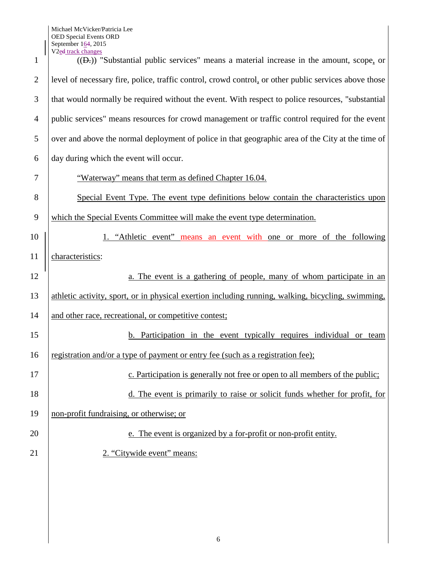| 1              | V <sub>2ed</sub> track changes<br>((D-)) "Substantial public services" means a material increase in the amount, scope, or |
|----------------|---------------------------------------------------------------------------------------------------------------------------|
| $\overline{2}$ | level of necessary fire, police, traffic control, crowd control, or other public services above those                     |
| 3              | that would normally be required without the event. With respect to police resources, "substantial"                        |
| $\overline{4}$ | public services" means resources for crowd management or traffic control required for the event                           |
| 5              | over and above the normal deployment of police in that geographic area of the City at the time of                         |
| 6              | day during which the event will occur.                                                                                    |
| 7              | "Waterway" means that term as defined Chapter 16.04.                                                                      |
| 8              | Special Event Type. The event type definitions below contain the characteristics upon                                     |
| 9              | which the Special Events Committee will make the event type determination.                                                |
| 10             | 1. "Athletic event" means an event with one or more of the following                                                      |
| 11             | characteristics:                                                                                                          |
| 12             | a. The event is a gathering of people, many of whom participate in an                                                     |
| 13             | athletic activity, sport, or in physical exertion including running, walking, bicycling, swimming,                        |
| 14             | and other race, recreational, or competitive contest;                                                                     |
| 15             | <b>b.</b> Participation in the event typically requires individual or team                                                |
| 16             | registration and/or a type of payment or entry fee (such as a registration fee);                                          |
| 17             | c. Participation is generally not free or open to all members of the public;                                              |
| 18             | d. The event is primarily to raise or solicit funds whether for profit, for                                               |
| 19             | non-profit fundraising, or otherwise; or                                                                                  |
| 20             | e. The event is organized by a for-profit or non-profit entity.                                                           |
| 21             | 2. "Citywide event" means:                                                                                                |
|                |                                                                                                                           |
|                |                                                                                                                           |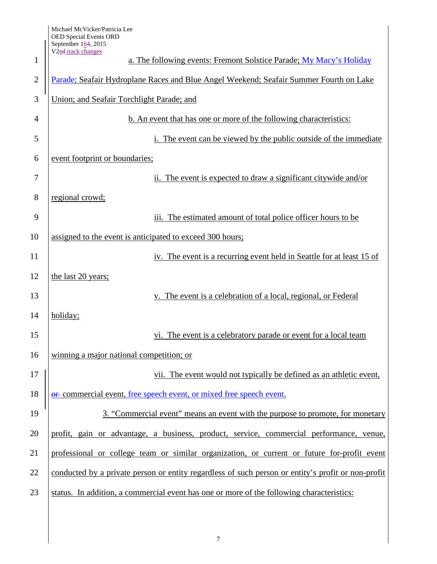| 1              | $\frac{0.11}{0.11}$<br>V <sub>2ed</sub> track changes<br>a. The following events: Fremont Solstice Parade; My Macy's Holiday |
|----------------|------------------------------------------------------------------------------------------------------------------------------|
| $\overline{2}$ | Parade; Seafair Hydroplane Races and Blue Angel Weekend; Seafair Summer Fourth on Lake                                       |
|                |                                                                                                                              |
| 3              | Union; and Seafair Torchlight Parade; and                                                                                    |
| $\overline{4}$ | <b>b.</b> An event that has one or more of the following characteristics:                                                    |
| 5              | The event can be viewed by the public outside of the immediate                                                               |
| 6              | event footprint or boundaries;                                                                                               |
| 7              | ii. The event is expected to draw a significant citywide and/or                                                              |
| 8              | regional crowd;                                                                                                              |
| 9              | iii. The estimated amount of total police officer hours to be                                                                |
| 10             | assigned to the event is anticipated to exceed 300 hours;                                                                    |
| 11             | iv. The event is a recurring event held in Seattle for at least 15 of                                                        |
| 12             | the last 20 years;                                                                                                           |
| 13             | v. The event is a celebration of a local, regional, or Federal                                                               |
| 14             | holiday;                                                                                                                     |
| 15             | vi. The event is a celebratory parade or event for a local team                                                              |
| 16             | winning a major national competition; or                                                                                     |
| 17             | vii. The event would not typically be defined as an athletic event,                                                          |
| 18             | or commercial event, free speech event, or mixed free speech event.                                                          |
| 19             | 3. "Commercial event" means an event with the purpose to promote, for monetary                                               |
| 20             | profit, gain or advantage, a business, product, service, commercial performance, venue,                                      |
| 21             | professional or college team or similar organization, or current or future for-profit event                                  |
| 22             | conducted by a private person or entity regardless of such person or entity's profit or non-profit                           |
| 23             | status. In addition, a commercial event has one or more of the following characteristics:                                    |
|                |                                                                                                                              |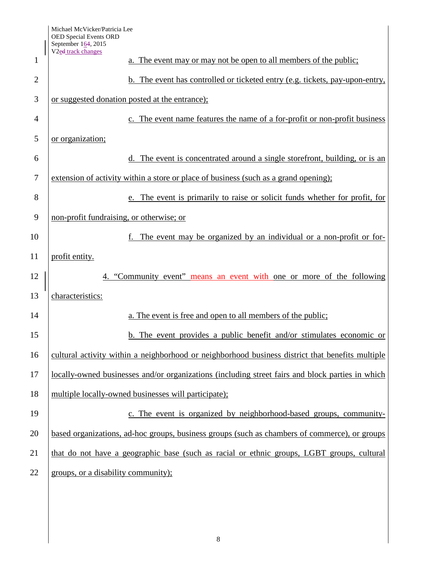| 1              | V <sub>2ed</sub> track changes<br>a. The event may or may not be open to all members of the public; |
|----------------|-----------------------------------------------------------------------------------------------------|
|                |                                                                                                     |
| $\overline{2}$ | b. The event has controlled or ticketed entry (e.g. tickets, pay-upon-entry,                        |
| 3              | or suggested donation posted at the entrance);                                                      |
| $\overline{4}$ | c. The event name features the name of a for-profit or non-profit business                          |
| 5              | or organization;                                                                                    |
| 6              | d. The event is concentrated around a single storefront, building, or is an                         |
| $\tau$         | extension of activity within a store or place of business (such as a grand opening);                |
| 8              | e. The event is primarily to raise or solicit funds whether for profit, for                         |
| 9              | non-profit fundraising, or otherwise; or                                                            |
| 10             | The event may be organized by an individual or a non-profit or for-                                 |
| 11             | profit entity.                                                                                      |
| 12             | "Community event" means an event with one or more of the following                                  |
| 13             | characteristics:                                                                                    |
| 14             | a. The event is free and open to all members of the public;                                         |
| 15             | b. The event provides a public benefit and/or stimulates economic or                                |
| 16             | cultural activity within a neighborhood or neighborhood business district that benefits multiple    |
| 17             | locally-owned businesses and/or organizations (including street fairs and block parties in which    |
| 18             | multiple locally-owned businesses will participate);                                                |
| 19             | c. The event is organized by neighborhood-based groups, community-                                  |
| 20             | based organizations, ad-hoc groups, business groups (such as chambers of commerce), or groups       |
| 21             | that do not have a geographic base (such as racial or ethnic groups, LGBT groups, cultural          |
| 22             | groups, or a disability community);                                                                 |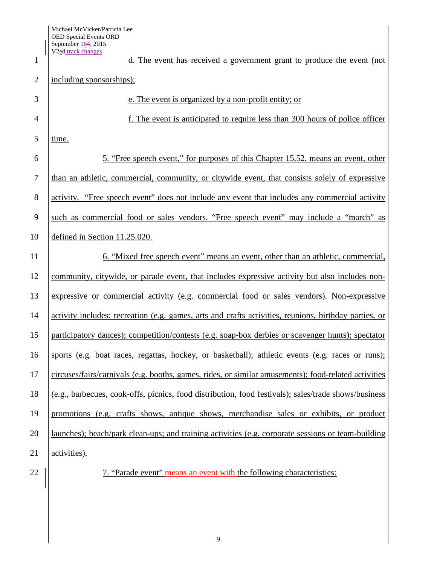| 1              | V <sub>2ed</sub> track changes<br>d. The event has received a government grant to produce the event (not |
|----------------|----------------------------------------------------------------------------------------------------------|
| $\overline{2}$ | including sponsorships);                                                                                 |
| 3              | e. The event is organized by a non-profit entity; or                                                     |
| $\overline{4}$ | f. The event is anticipated to require less than 300 hours of police officer                             |
| 5              | time.                                                                                                    |
| 6              | 5. "Free speech event," for purposes of this Chapter 15.52, means an event, other                        |
| 7              | than an athletic, commercial, community, or citywide event, that consists solely of expressive           |
| 8              | activity. "Free speech event" does not include any event that includes any commercial activity           |
| 9              | such as commercial food or sales vendors. "Free speech event" may include a "march" as                   |
| 10             | defined in Section 11.25.020.                                                                            |
| 11             | 6. "Mixed free speech event" means an event, other than an athletic, commercial,                         |
| 12             | community, citywide, or parade event, that includes expressive activity but also includes non-           |
| 13             | expressive or commercial activity (e.g. commercial food or sales vendors). Non-expressive                |
| 14             | activity includes: recreation (e.g. games, arts and crafts activities, reunions, birthday parties, or    |
| 15             | participatory dances); competition/contests (e.g. soap-box derbies or scavenger hunts); spectator        |
| 16             | sports (e.g. boat races, regattas, hockey, or basketball); athletic events (e.g. races or runs);         |
| 17             | circuses/fairs/carnivals (e.g. booths, games, rides, or similar amusements); food-related activities     |
| 18             | (e.g., barbecues, cook-offs, picnics, food distribution, food festivals); sales/trade shows/business     |
| 19             | promotions (e.g. crafts shows, antique shows, merchandise sales or exhibits, or product                  |
| 20             | launches); beach/park clean-ups; and training activities (e.g. corporate sessions or team-building       |
| 21             | activities).                                                                                             |
| $\sim$         |                                                                                                          |

22 |  $\vert$  7. "Parade event" means an event with the following characteristics: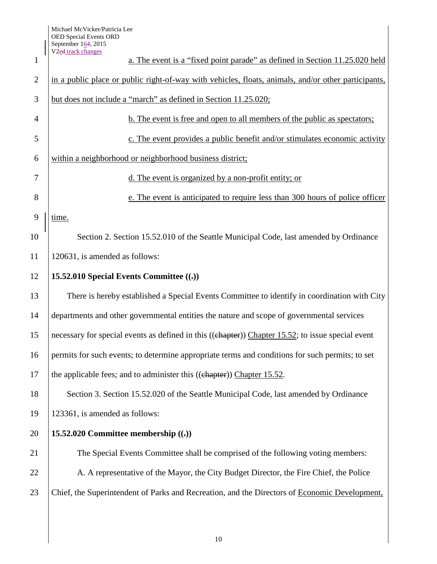$\overline{\phantom{a}}$ 

| $\mathbf{1}$   | V <sub>2</sub> ed track changes<br>a. The event is a "fixed point parade" as defined in Section 11.25.020 held |
|----------------|----------------------------------------------------------------------------------------------------------------|
| $\overline{2}$ | in a public place or public right-of-way with vehicles, floats, animals, and/or other participants,            |
| 3              | but does not include a "march" as defined in Section 11.25.020;                                                |
| $\overline{4}$ | b. The event is free and open to all members of the public as spectators;                                      |
| 5              | c. The event provides a public benefit and/or stimulates economic activity                                     |
| 6              | within a neighborhood or neighborhood business district;                                                       |
| 7              | d. The event is organized by a non-profit entity; or                                                           |
| 8              | e. The event is anticipated to require less than 300 hours of police officer                                   |
| 9              | time.                                                                                                          |
| 10             | Section 2. Section 15.52.010 of the Seattle Municipal Code, last amended by Ordinance                          |
| 11             | 120631, is amended as follows:                                                                                 |
| 12             | 15.52.010 Special Events Committee $((.)$                                                                      |
| 13             | There is hereby established a Special Events Committee to identify in coordination with City                   |
| 14             | departments and other governmental entities the nature and scope of governmental services                      |
| 15             | necessary for special events as defined in this ((chapter)) Chapter 15.52; to issue special event              |
| 16             | permits for such events; to determine appropriate terms and conditions for such permits; to set                |
| 17             | the applicable fees; and to administer this ((chapter)) Chapter 15.52.                                         |
| 18             | Section 3. Section 15.52.020 of the Seattle Municipal Code, last amended by Ordinance                          |
| 19             | 123361, is amended as follows:                                                                                 |
| 20             | 15.52.020 Committee membership $((.)$                                                                          |
| 21             | The Special Events Committee shall be comprised of the following voting members:                               |
| 22             | A. A representative of the Mayor, the City Budget Director, the Fire Chief, the Police                         |
| 23             | Chief, the Superintendent of Parks and Recreation, and the Directors of Economic Development,                  |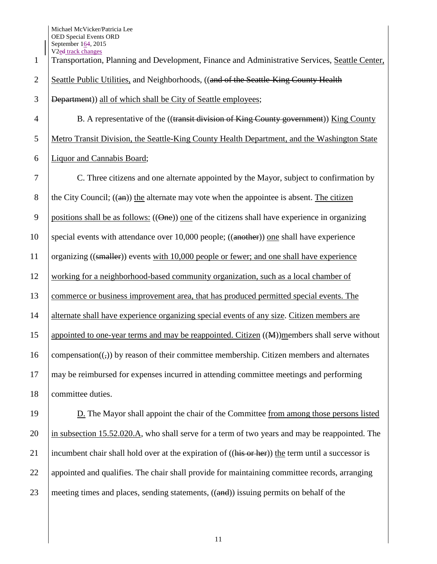1 Transportation, Planning and Development, Finance and Administrative Services, Seattle Center, 2 Seattle Public Utilities, and Neighborhoods, ((and of the Seattle-King County Health 3 Department)) all of which shall be City of Seattle employees; 4 B. A representative of the ((transit division of King County government)) King County 5 Metro Transit Division, the Seattle-King County Health Department, and the Washington State 6 Liquor and Cannabis Board; 7 C. Three citizens and one alternate appointed by the Mayor, subject to confirmation by 8 the City Council;  $((a)$  the alternate may vote when the appointee is absent. The citizen 9 positions shall be as follows:  $((\Theta_{\text{ne}}))$  one of the citizens shall have experience in organizing 10 special events with attendance over 10,000 people; ((another)) one shall have experience 11 organizing ((smaller)) events with 10,000 people or fewer; and one shall have experience 12 working for a neighborhood-based community organization, such as a local chamber of 13 commerce or business improvement area, that has produced permitted special events. The 14 alternate shall have experience organizing special events of any size. Citizen members are 15 appointed to one-year terms and may be reappointed. Citizen ((M))members shall serve without 16 compensation( $\overline{(\cdot)}$ ) by reason of their committee membership. Citizen members and alternates 17 may be reimbursed for expenses incurred in attending committee meetings and performing 18 committee duties.

19 D. The Mayor shall appoint the chair of the Committee from among those persons listed 20 in subsection 15.52.020.A, who shall serve for a term of two years and may be reappointed. The 21 incumbent chair shall hold over at the expiration of  $((\overline{\text{his or her}}))$  the term until a successor is 22 appointed and qualifies. The chair shall provide for maintaining committee records, arranging 23 meeting times and places, sending statements,  $((and))$  issuing permits on behalf of the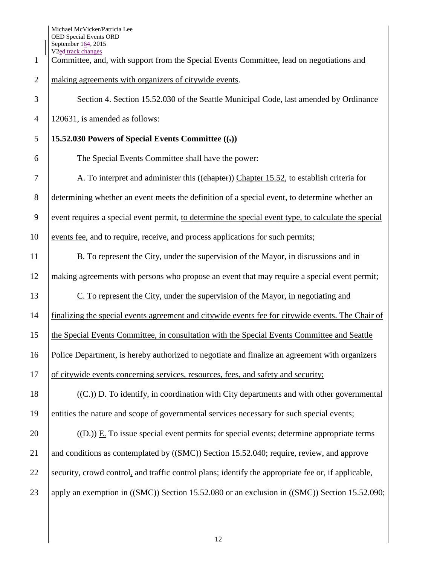| $\mathbf{1}$   | September 104, 2015<br>V <sub>2ed</sub> track changes<br>Committee, and, with support from the Special Events Committee, lead on negotiations and |
|----------------|---------------------------------------------------------------------------------------------------------------------------------------------------|
| $\overline{2}$ | making agreements with organizers of citywide events.                                                                                             |
| 3              | Section 4. Section 15.52.030 of the Seattle Municipal Code, last amended by Ordinance                                                             |
| $\overline{4}$ | 120631, is amended as follows:                                                                                                                    |
| 5              | 15.52.030 Powers of Special Events Committee $((,))$                                                                                              |
| 6              | The Special Events Committee shall have the power:                                                                                                |
| 7              | A. To interpret and administer this ((chapter)) Chapter 15.52, to establish criteria for                                                          |
| 8              | determining whether an event meets the definition of a special event, to determine whether an                                                     |
| 9              | event requires a special event permit, to determine the special event type, to calculate the special                                              |
| 10             | events fee, and to require, receive, and process applications for such permits;                                                                   |
| 11             | B. To represent the City, under the supervision of the Mayor, in discussions and in                                                               |
| 12             | making agreements with persons who propose an event that may require a special event permit;                                                      |
| 13             | C. To represent the City, under the supervision of the Mayor, in negotiating and                                                                  |
| 14             | finalizing the special events agreement and citywide events fee for citywide events. The Chair of                                                 |
| 15             | the Special Events Committee, in consultation with the Special Events Committee and Seattle                                                       |
| 16             | Police Department, is hereby authorized to negotiate and finalize an agreement with organizers                                                    |
| 17             | of citywide events concerning services, resources, fees, and safety and security;                                                                 |
| 18             | $((Cz))$ D. To identify, in coordination with City departments and with other governmental                                                        |
| 19             | entities the nature and scope of governmental services necessary for such special events;                                                         |
| 20             | $((Dz))$ E. To issue special event permits for special events; determine appropriate terms                                                        |
| 21             | and conditions as contemplated by ((SMC)) Section 15.52.040; require, review, and approve                                                         |
| 22             | security, crowd control, and traffic control plans; identify the appropriate fee or, if applicable,                                               |
| 23             | apply an exemption in ((SMC)) Section 15.52.080 or an exclusion in ((SMC)) Section 15.52.090;                                                     |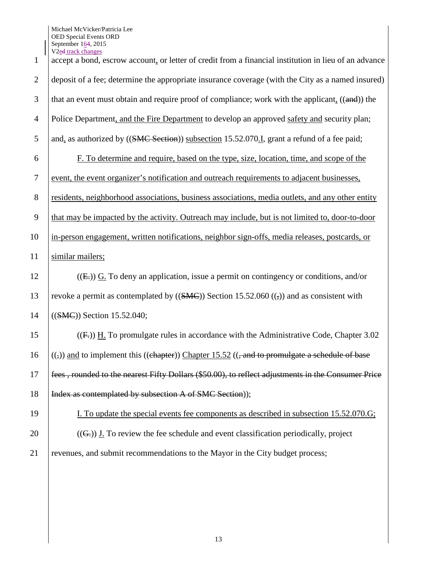Michael McVicker/Patricia Lee OED Special Events ORD September 164, 2015 V<sub>2</sub>ed track changes

| $\mathbf{1}$   | V <sub>2</sub> e <sub>d</sub> track changes<br>accept a bond, escrow account, or letter of credit from a financial institution in lieu of an advance |
|----------------|------------------------------------------------------------------------------------------------------------------------------------------------------|
| $\overline{2}$ | deposit of a fee; determine the appropriate insurance coverage (with the City as a named insured)                                                    |
| 3              | that an event must obtain and require proof of compliance; work with the applicant, ((and)) the                                                      |
| $\overline{4}$ | Police Department, and the Fire Department to develop an approved safety and security plan;                                                          |
| 5              | and, as authorized by ((SMC Section)) subsection 15.52.070.I, grant a refund of a fee paid;                                                          |
| 6              | F. To determine and require, based on the type, size, location, time, and scope of the                                                               |
| $\tau$         | event, the event organizer's notification and outreach requirements to adjacent businesses,                                                          |
| $8\,$          | residents, neighborhood associations, business associations, media outlets, and any other entity                                                     |
| 9              | that may be impacted by the activity. Outreach may include, but is not limited to, door-to-door                                                      |
| 10             | in-person engagement, written notifications, neighbor sign-offs, media releases, postcards, or                                                       |
| 11             | similar mailers;                                                                                                                                     |
| 12             | $((E))$ G. To deny an application, issue a permit on contingency or conditions, and/or                                                               |
| 13             | revoke a permit as contemplated by $((SMC))$ Section 15.52.060 $((\overline{z}))$ and as consistent with                                             |
| 14             | $((SMC))$ Section 15.52.040;                                                                                                                         |
| 15             | $((F))$ H. To promulgate rules in accordance with the Administrative Code, Chapter 3.02                                                              |
| 16             | $((,))$ and to implement this ((chapter)) Chapter 15.52 ((, and to promulgate a schedule of base                                                     |
| $17\,$         | fees, rounded to the nearest Fifty Dollars (\$50.00), to reflect adjustments in the Consumer Price                                                   |
| 18             | Index as contemplated by subsection A of SMC Section));                                                                                              |
| 19             | I. To update the special events fee components as described in subsection 15.52.070.G;                                                               |
| 20             | $((Gz))$ J. To review the fee schedule and event classification periodically, project                                                                |
| 21             | revenues, and submit recommendations to the Mayor in the City budget process;                                                                        |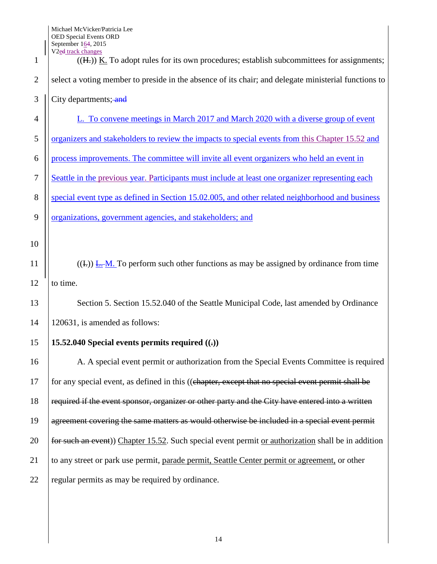| 1              | $\mathsf{S}\mathsf{C}\mathsf{P}\mathsf{C}\mathsf{H}\mathsf{I}\mathsf{C}\mathsf{C}\mathsf{I}\mathsf{I}\mathsf{C}\mathsf{C}$<br>V <sub>2ed track changes</sub><br>$((H))$ K. To adopt rules for its own procedures; establish subcommittees for assignments; |
|----------------|------------------------------------------------------------------------------------------------------------------------------------------------------------------------------------------------------------------------------------------------------------|
| $\overline{2}$ | select a voting member to preside in the absence of its chair; and delegate ministerial functions to                                                                                                                                                       |
| 3              | City departments; and                                                                                                                                                                                                                                      |
| $\overline{4}$ | L. To convene meetings in March 2017 and March 2020 with a diverse group of event                                                                                                                                                                          |
| 5              | organizers and stakeholders to review the impacts to special events from this Chapter 15.52 and                                                                                                                                                            |
| 6              | process improvements. The committee will invite all event organizers who held an event in                                                                                                                                                                  |
| $\tau$         | Seattle in the previous year. Participants must include at least one organizer representing each                                                                                                                                                           |
| 8              | special event type as defined in Section 15.02.005, and other related neighborhood and business                                                                                                                                                            |
| 9              | organizations, government agencies, and stakeholders; and                                                                                                                                                                                                  |
| 10             |                                                                                                                                                                                                                                                            |
| 11             | $((E))$ $\underline{E}: M$ . To perform such other functions as may be assigned by ordinance from time                                                                                                                                                     |
| 12             | to time.                                                                                                                                                                                                                                                   |
| 13             | Section 5. Section 15.52.040 of the Seattle Municipal Code, last amended by Ordinance                                                                                                                                                                      |
| 14             | 120631, is amended as follows:                                                                                                                                                                                                                             |
| 15             | 15.52.040 Special events permits required $($ $($ $)$                                                                                                                                                                                                      |
|                |                                                                                                                                                                                                                                                            |
| 16             | A. A special event permit or authorization from the Special Events Committee is required                                                                                                                                                                   |
| 17             | for any special event, as defined in this ((chapter, except that no special event permit shall be                                                                                                                                                          |
| 18             | required if the event sponsor, organizer or other party and the City have entered into a written                                                                                                                                                           |
| 19             | agreement covering the same matters as would otherwise be included in a special event permit                                                                                                                                                               |
| 20             | for such an event)) Chapter 15.52. Such special event permit or authorization shall be in addition                                                                                                                                                         |
| 21             | to any street or park use permit, parade permit, Seattle Center permit or agreement, or other                                                                                                                                                              |
| 22             | regular permits as may be required by ordinance.                                                                                                                                                                                                           |
|                |                                                                                                                                                                                                                                                            |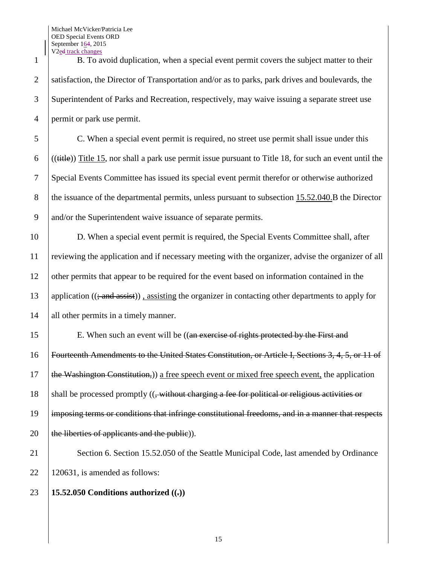Michael McVicker/Patricia Lee OED Special Events ORD September 164, 2015 V<sub>2</sub>ed track changes

 B. To avoid duplication, when a special event permit covers the subject matter to their 2 Satisfaction, the Director of Transportation and/or as to parks, park drives and boulevards, the Superintendent of Parks and Recreation, respectively, may waive issuing a separate street use permit or park use permit.

5 C. When a special event permit is required, no street use permit shall issue under this 6 ((( $(t$ itle)) Title 15, nor shall a park use permit issue pursuant to Title 18, for such an event until the 7 Special Events Committee has issued its special event permit therefor or otherwise authorized 8 the issuance of the departmental permits, unless pursuant to subsection 15.52.040.B the Director 9 and/or the Superintendent waive issuance of separate permits.

10 D. When a special event permit is required, the Special Events Committee shall, after 11 reviewing the application and if necessary meeting with the organizer, advise the organizer of all 12 other permits that appear to be required for the event based on information contained in the 13 application  $((\frac{1}{2} \text{ and } \frac{1}{4})$ , assisting the organizer in contacting other departments to apply for 14 all other permits in a timely manner.

15 E. When such an event will be ((an exercise of rights protected by the First and Fourteenth Amendments to the United States Constitution, or Article I, Sections 3, 4, 5, or 11 of  $\theta$  the Washington Constitution,)) a free speech event or mixed free speech event, the application  $\parallel$  shall be processed promptly ( $\parallel$ , without charging a fee for political or religious activities or 19 imposing terms or conditions that infringe constitutional freedoms, and in a manner that respects  $\vert$  the liberties of applicants and the public)).

21 Section 6. Section 15.52.050 of the Seattle Municipal Code, last amended by Ordinance 22 | 120631, is amended as follows:

## 23 **15.52.050 Conditions authorized ((.))**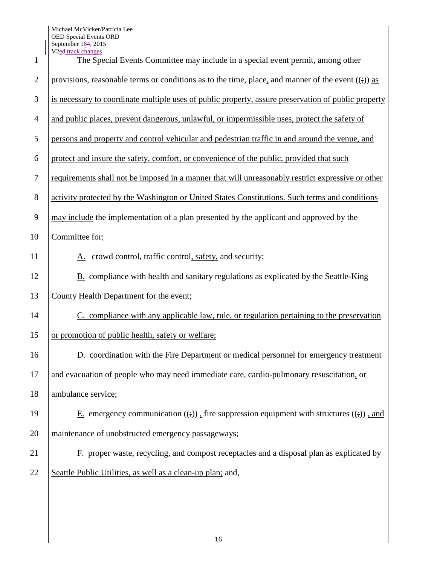| $\mathbf{1}$   | V <sub>2ed track changes</sub><br>The Special Events Committee may include in a special event permit, among other |
|----------------|-------------------------------------------------------------------------------------------------------------------|
| $\overline{2}$ | provisions, reasonable terms or conditions as to the time, place, and manner of the event $((\cdot))$ as          |
| 3              | is necessary to coordinate multiple uses of public property, assure preservation of public property               |
| 4              | and public places, prevent dangerous, unlawful, or impermissible uses, protect the safety of                      |
| 5              | persons and property and control vehicular and pedestrian traffic in and around the venue, and                    |
| 6              | protect and insure the safety, comfort, or convenience of the public, provided that such                          |
| 7              | requirements shall not be imposed in a manner that will unreasonably restrict expressive or other                 |
| 8              | activity protected by the Washington or United States Constitutions. Such terms and conditions                    |
| 9              | may include the implementation of a plan presented by the applicant and approved by the                           |
| 10             | Committee for:                                                                                                    |
| 11             | A. crowd control, traffic control, safety, and security;                                                          |
| 12             | <b>B.</b> compliance with health and sanitary regulations as explicated by the Seattle-King                       |
| 13             | County Health Department for the event;                                                                           |
| 14             | C. compliance with any applicable law, rule, or regulation pertaining to the preservation                         |
| 15             | or promotion of public health, safety or welfare;                                                                 |
| 16             | D. coordination with the Fire Department or medical personnel for emergency treatment                             |
| 17             | and evacuation of people who may need immediate care, cardio-pulmonary resuscitation, or                          |
| 18             | ambulance service;                                                                                                |
| 19             | E. emergency communication $((\cdot))$ . fire suppression equipment with structures $((\cdot))$ , and             |
| 20             | maintenance of unobstructed emergency passageways;                                                                |
| 21             | F. proper waste, recycling, and compost receptacles and a disposal plan as explicated by                          |
| 22             | Seattle Public Utilities, as well as a clean-up plan; and,                                                        |
|                |                                                                                                                   |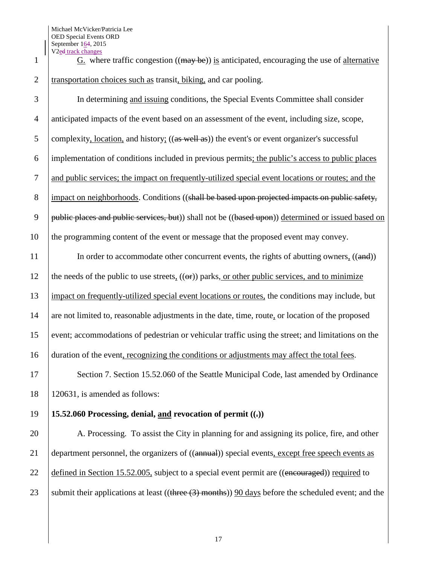Michael McVicker/Patricia Lee OED Special Events ORD September 164, 2015 V2ed track changes

1 G. where traffic congestion  $((\text{may be}))$  is anticipated, encouraging the use of alternative 2 Transportation choices such as transit, biking, and car pooling.

3 In determining and issuing conditions, the Special Events Committee shall consider 4 anticipated impacts of the event based on an assessment of the event, including size, scope, 5 complexity, location, and history;  $((as well as))$  the event's or event organizer's successful 6 implementation of conditions included in previous permits; the public's access to public places 7 and public services; the impact on frequently-utilized special event locations or routes; and the 8 impact on neighborhoods. Conditions ((shall be based upon projected impacts on public safety, 9 | public places and public services, but) shall not be  $((based upon))$  determined or issued based on 10 the programming content of the event or message that the proposed event may convey.

11 In order to accommodate other concurrent events, the rights of abutting owners, ((and)) 12 the needs of the public to use streets,  $((\Theta$ **r**)) parks, or other public services, and to minimize 13 impact on frequently-utilized special event locations or routes, the conditions may include, but 14 are not limited to, reasonable adjustments in the date, time, route, or location of the proposed 15 event; accommodations of pedestrian or vehicular traffic using the street; and limitations on the 16 duration of the event, recognizing the conditions or adjustments may affect the total fees.

17 Section 7. Section 15.52.060 of the Seattle Municipal Code, last amended by Ordinance 18 120631, is amended as follows:

## 19 **15.52.060 Processing, denial, and revocation of permit**  $(\cdot, \cdot)$

20 A. Processing. To assist the City in planning for and assigning its police, fire, and other 21 department personnel, the organizers of ((annual)) special events, except free speech events as 22 defined in Section 15.52.005, subject to a special event permit are  $((\text{encouraged}))$  required to 23 submit their applications at least ((three  $(3)$  months)) 90 days before the scheduled event; and the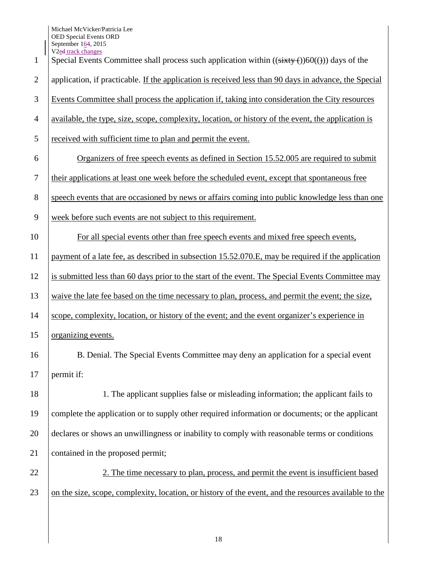Michael McVicker/Patricia Lee OED Special Events ORD September 164, 2015 V<sub>2</sub>ed track changes

| $\mathbf{1}$   | v ze <del>u</del> track changes<br>Special Events Committee shall process such application within $((sixty)(60)(4))$ days of the |
|----------------|----------------------------------------------------------------------------------------------------------------------------------|
| $\overline{2}$ | application, if practicable. If the application is received less than 90 days in advance, the Special                            |
| 3              | Events Committee shall process the application if, taking into consideration the City resources                                  |
| $\overline{4}$ | available, the type, size, scope, complexity, location, or history of the event, the application is                              |
| 5              | received with sufficient time to plan and permit the event.                                                                      |
| 6              | Organizers of free speech events as defined in Section 15.52.005 are required to submit                                          |
| $\tau$         | their applications at least one week before the scheduled event, except that spontaneous free                                    |
| 8              | speech events that are occasioned by news or affairs coming into public knowledge less than one                                  |
| 9              | week before such events are not subject to this requirement.                                                                     |
| 10             | For all special events other than free speech events and mixed free speech events,                                               |
| 11             | payment of a late fee, as described in subsection 15.52.070.E, may be required if the application                                |
| 12             | is submitted less than 60 days prior to the start of the event. The Special Events Committee may                                 |
| 13             | waive the late fee based on the time necessary to plan, process, and permit the event; the size,                                 |
| 14             | scope, complexity, location, or history of the event; and the event organizer's experience in                                    |
| 15             | organizing events.                                                                                                               |
| 16             | B. Denial. The Special Events Committee may deny an application for a special event                                              |
| 17             | permit if:                                                                                                                       |
| 18             | 1. The applicant supplies false or misleading information; the applicant fails to                                                |
| 19             | complete the application or to supply other required information or documents; or the applicant                                  |
| 20             | declares or shows an unwillingness or inability to comply with reasonable terms or conditions                                    |
| 21             | contained in the proposed permit;                                                                                                |
| 22             | 2. The time necessary to plan, process, and permit the event is insufficient based                                               |
| 23             | on the size, scope, complexity, location, or history of the event, and the resources available to the                            |
|                |                                                                                                                                  |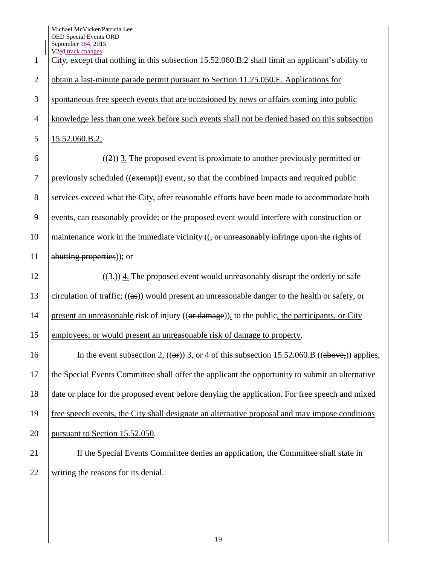| $\mathbf{1}$     | V <sub>2ed</sub> track changes<br>City, except that nothing in this subsection 15.52.060.B.2 shall limit an applicant's ability to |
|------------------|------------------------------------------------------------------------------------------------------------------------------------|
| $\overline{2}$   | obtain a last-minute parade permit pursuant to Section 11.25.050.E. Applications for                                               |
| 3                | spontaneous free speech events that are occasioned by news or affairs coming into public                                           |
| $\overline{4}$   | knowledge less than one week before such events shall not be denied based on this subsection                                       |
| 5                | 15.52.060.B.2;                                                                                                                     |
| 6                | $((2))$ 3. The proposed event is proximate to another previously permitted or                                                      |
| $\boldsymbol{7}$ | previously scheduled ((exempt)) event, so that the combined impacts and required public                                            |
| 8                | services exceed what the City, after reasonable efforts have been made to accommodate both                                         |
| 9                | events, can reasonably provide; or the proposed event would interfere with construction or                                         |
| 10               | maintenance work in the immediate vicinity $((, or$ unreasonably infringe upon the rights of                                       |
| 11               | abutting properties)); or                                                                                                          |
| 12               | $((3))$ 4. The proposed event would unreasonably disrupt the orderly or safe                                                       |
| 13               | circulation of traffic; $((as))$ would present an unreasonable danger to the health or safety, or                                  |
| 14               | present an unreasonable risk of injury ((or damage)), to the public, the participants, or City                                     |
| 15               | employees; or would present an unreasonable risk of damage to property.                                                            |
| 16               | In the event subsection 2, $((\omega F))$ 3, or 4 of this subsection 15.52.060.B $((\text{above},))$ applies,                      |
| 17               | the Special Events Committee shall offer the applicant the opportunity to submit an alternative                                    |
| 18               | date or place for the proposed event before denying the application. For free speech and mixed                                     |
| 19               | free speech events, the City shall designate an alternative proposal and may impose conditions                                     |
| 20               | pursuant to Section 15.52.050.                                                                                                     |
| 21               | If the Special Events Committee denies an application, the Committee shall state in                                                |
| 22               | writing the reasons for its denial.                                                                                                |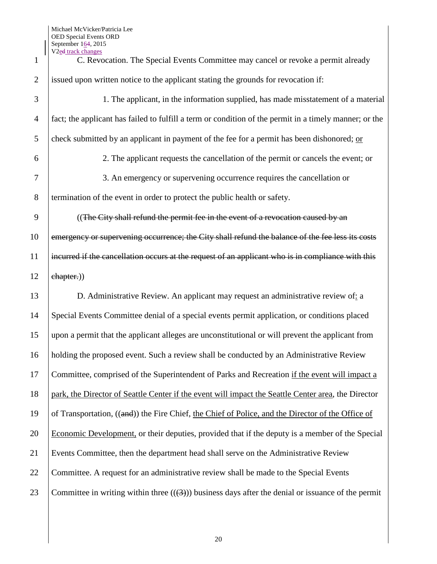| C. Revocation. The Special Events Committee may cancel or revoke a permit already                      |
|--------------------------------------------------------------------------------------------------------|
| issued upon written notice to the applicant stating the grounds for revocation if:                     |
| 1. The applicant, in the information supplied, has made misstatement of a material                     |
| fact; the applicant has failed to fulfill a term or condition of the permit in a timely manner; or the |
| check submitted by an applicant in payment of the fee for a permit has been dishonored; or             |
| 2. The applicant requests the cancellation of the permit or cancels the event; or                      |
| 3. An emergency or supervening occurrence requires the cancellation or                                 |
| termination of the event in order to protect the public health or safety.                              |
| ((The City shall refund the permit fee in the event of a revocation caused by an                       |
| emergency or supervening occurrence; the City shall refund the balance of the fee less its costs       |
| incurred if the cancellation occurs at the request of an applicant who is in compliance with this      |
| ehapter.))                                                                                             |
| D. Administrative Review. An applicant may request an administrative review of: a                      |
| Special Events Committee denial of a special events permit application, or conditions placed           |
| upon a permit that the applicant alleges are unconstitutional or will prevent the applicant from       |
| holding the proposed event. Such a review shall be conducted by an Administrative Review               |
| Committee, comprised of the Superintendent of Parks and Recreation if the event will impact a          |
| park, the Director of Seattle Center if the event will impact the Seattle Center area, the Director    |
| of Transportation, ((and)) the Fire Chief, the Chief of Police, and the Director of the Office of      |
| Economic Development, or their deputies, provided that if the deputy is a member of the Special        |
| Events Committee, then the department head shall serve on the Administrative Review                    |
| Committee. A request for an administrative review shall be made to the Special Events                  |
| Committee in writing within three $((3))$ business days after the denial or issuance of the permit     |
|                                                                                                        |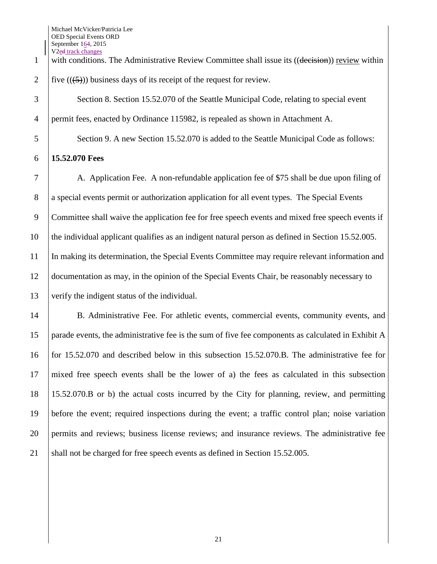1 with conditions. The Administrative Review Committee shall issue its ((decision)) review within 2 | five  $((\frac{5}{2}))$  business days of its receipt of the request for review.

3 Section 8. Section 15.52.070 of the Seattle Municipal Code, relating to special event permit fees, enacted by Ordinance 115982, is repealed as shown in Attachment A.

5 Section 9. A new Section 15.52.070 is added to the Seattle Municipal Code as follows:

## **15.52.070 Fees**

 A. Application Fee. A non-refundable application fee of \$75 shall be due upon filing of a special events permit or authorization application for all event types. The Special Events Committee shall waive the application fee for free speech events and mixed free speech events if the individual applicant qualifies as an indigent natural person as defined in Section 15.52.005. In making its determination, the Special Events Committee may require relevant information and documentation as may, in the opinion of the Special Events Chair, be reasonably necessary to verify the indigent status of the individual.

 B. Administrative Fee. For athletic events, commercial events, community events, and parade events, the administrative fee is the sum of five fee components as calculated in Exhibit A for 15.52.070 and described below in this subsection 15.52.070.B. The administrative fee for mixed free speech events shall be the lower of a) the fees as calculated in this subsection 15.52.070.B or b) the actual costs incurred by the City for planning, review, and permitting before the event; required inspections during the event; a traffic control plan; noise variation permits and reviews; business license reviews; and insurance reviews. The administrative fee 21 shall not be charged for free speech events as defined in Section 15.52.005.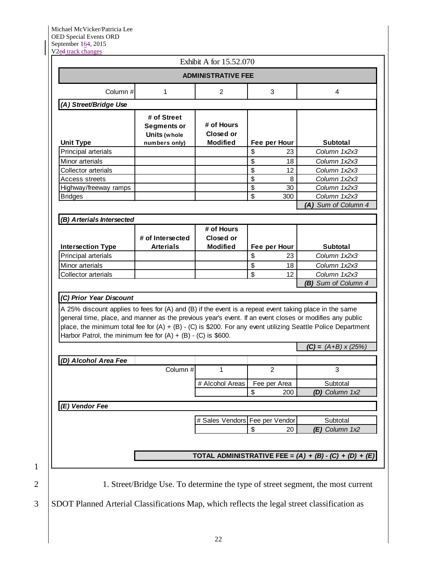1

| Column#<br>(A) Street/Bridge Use                                                                                                                                                                                  |                                                                                                                | <b>ADMINISTRATIVE FEE</b>                  |              |                                     |
|-------------------------------------------------------------------------------------------------------------------------------------------------------------------------------------------------------------------|----------------------------------------------------------------------------------------------------------------|--------------------------------------------|--------------|-------------------------------------|
|                                                                                                                                                                                                                   | 1                                                                                                              | $\overline{2}$                             | 3            | 4                                   |
|                                                                                                                                                                                                                   |                                                                                                                |                                            |              |                                     |
| <b>Unit Type</b>                                                                                                                                                                                                  | # of Street<br><b>Segments or</b><br>Units (whole<br>numbers only)                                             | # of Hours<br>Closed or<br><b>Modified</b> | Fee per Hour | Subtotal                            |
| Principal arterials                                                                                                                                                                                               |                                                                                                                |                                            | \$<br>23     | Column 1x2x3                        |
| Minor arterials                                                                                                                                                                                                   |                                                                                                                |                                            | \$<br>18     | Column 1x2x3                        |
| Collector arterials                                                                                                                                                                                               |                                                                                                                |                                            | \$<br>12     | Column 1x2x3                        |
| <b>Access streets</b>                                                                                                                                                                                             |                                                                                                                |                                            | \$<br>8      | Column 1x2x3                        |
| Highway/freeway ramps                                                                                                                                                                                             |                                                                                                                |                                            | \$<br>30     | Column 1x2x3                        |
| <b>Bridges</b>                                                                                                                                                                                                    |                                                                                                                |                                            | \$<br>300    | Column 1x2x3                        |
|                                                                                                                                                                                                                   |                                                                                                                |                                            |              | (A) Sum of Column 4                 |
| (B) Arterials Intersected                                                                                                                                                                                         |                                                                                                                |                                            |              |                                     |
|                                                                                                                                                                                                                   | # of Intersected                                                                                               | # of Hours<br>Closed or                    |              |                                     |
| <b>Intersection Type</b>                                                                                                                                                                                          | <b>Arterials</b>                                                                                               | <b>Modified</b>                            | Fee per Hour | <b>Subtotal</b>                     |
| Principal arterials                                                                                                                                                                                               |                                                                                                                |                                            | \$<br>23     | Column 1x2x3                        |
| Minor arterials                                                                                                                                                                                                   |                                                                                                                |                                            | \$<br>18     | Column 1x2x3                        |
| <b>Collector arterials</b>                                                                                                                                                                                        |                                                                                                                |                                            | \$<br>12     | Column 1x2x3<br>(B) Sum of Column 4 |
| A 25% discount applies to fees for (A) and (B) if the event is a repeat event taking place in the same<br>general time, place, and manner as the previous year's event. If an event closes or modifies any public | place, the minimum total fee for $(A) + (B) - (C)$ is \$200. For any event utilizing Seattle Police Department |                                            |              |                                     |
|                                                                                                                                                                                                                   |                                                                                                                |                                            |              |                                     |
| Harbor Patrol, the minimum fee for $(A) + (B) - (C)$ is \$600.                                                                                                                                                    |                                                                                                                |                                            |              |                                     |
|                                                                                                                                                                                                                   |                                                                                                                |                                            |              | $(C) = (A+B) \times (25%)$          |
| (D) Alcohol Area Fee                                                                                                                                                                                              |                                                                                                                |                                            |              |                                     |
|                                                                                                                                                                                                                   | Column #                                                                                                       | 1                                          | 2.           | 3                                   |
|                                                                                                                                                                                                                   |                                                                                                                | # Alcohol Areas                            | Fee per Area | Subtotal                            |
|                                                                                                                                                                                                                   |                                                                                                                |                                            | \$<br>200    | (D) Column 1x2                      |
| (E) Vendor Fee                                                                                                                                                                                                    |                                                                                                                |                                            |              |                                     |
|                                                                                                                                                                                                                   |                                                                                                                |                                            |              |                                     |
|                                                                                                                                                                                                                   |                                                                                                                | # Sales Vendors Fee per Vendor             |              | Subtotal                            |
|                                                                                                                                                                                                                   |                                                                                                                |                                            | \$<br>20     | (E) Column 1x2                      |

3 SDOT Planned Arterial Classifications Map, which reflects the legal street classification as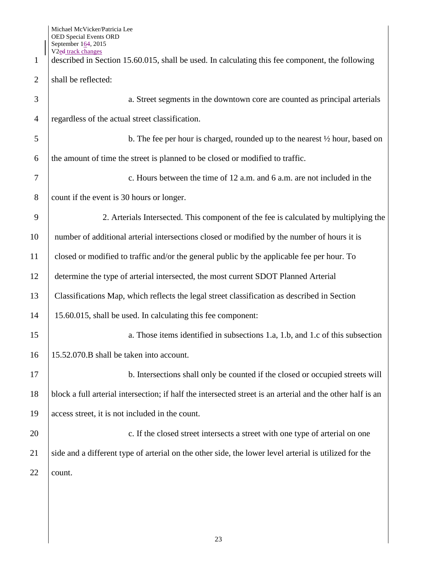V2ed track changes described in Section 15.60.015, shall be used. In calculating this fee component, the following 2 shall be reflected: a. Street segments in the downtown core are counted as principal arterials regardless of the actual street classification.  $5 \mid$  b. The fee per hour is charged, rounded up to the nearest  $\frac{1}{2}$  hour, based on the amount of time the street is planned to be closed or modified to traffic. c. Hours between the time of 12 a.m. and 6 a.m. are not included in the 8 count if the event is 30 hours or longer. 2. Arterials Intersected. This component of the fee is calculated by multiplying the 10 number of additional arterial intersections closed or modified by the number of hours it is closed or modified to traffic and/or the general public by the applicable fee per hour. To determine the type of arterial intersected, the most current SDOT Planned Arterial Classifications Map, which reflects the legal street classification as described in Section 15.60.015, shall be used. In calculating this fee component: 15 a. Those items identified in subsections 1.a, 1.b, and 1.c of this subsection 15.52.070.B shall be taken into account. 17 b. Intersections shall only be counted if the closed or occupied streets will block a full arterial intersection; if half the intersected street is an arterial and the other half is an access street, it is not included in the count. **c.** If the closed street intersects a street with one type of arterial on one 21 side and a different type of arterial on the other side, the lower level arterial is utilized for the 22 count.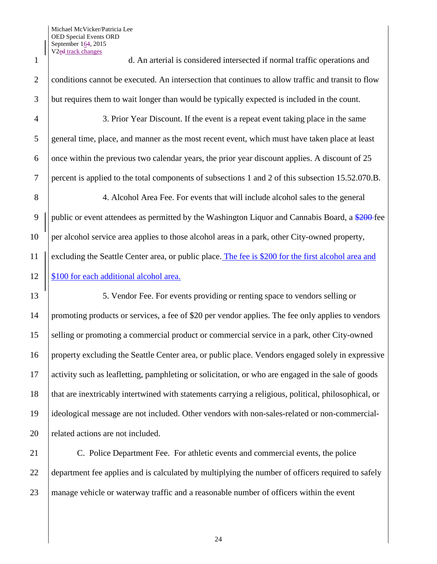1 d. An arterial is considered intersected if normal traffic operations and 2 conditions cannot be executed. An intersection that continues to allow traffic and transit to flow 3 but requires them to wait longer than would be typically expected is included in the count.

 3. Prior Year Discount. If the event is a repeat event taking place in the same general time, place, and manner as the most recent event, which must have taken place at least  $\overline{6}$  once within the previous two calendar years, the prior year discount applies. A discount of 25 percent is applied to the total components of subsections 1 and 2 of this subsection 15.52.070.B.

8 4. Alcohol Area Fee. For events that will include alcohol sales to the general 9 | public or event attendees as permitted by the Washington Liquor and Cannabis Board, a  $\frac{$200}{2}$  fee 10 per alcohol service area applies to those alcohol areas in a park, other City-owned property, 11 excluding the Seattle Center area, or public place. The fee is \$200 for the first alcohol area and 12 | \$100 for each additional alcohol area.

13 13 5. Vendor Fee. For events providing or renting space to vendors selling or promoting products or services, a fee of \$20 per vendor applies. The fee only applies to vendors selling or promoting a commercial product or commercial service in a park, other City-owned property excluding the Seattle Center area, or public place. Vendors engaged solely in expressive activity such as leafletting, pamphleting or solicitation, or who are engaged in the sale of goods that are inextricably intertwined with statements carrying a religious, political, philosophical, or ideological message are not included. Other vendors with non-sales-related or non-commercial-20 | related actions are not included.

21 C. Police Department Fee. For athletic events and commercial events, the police 22 department fee applies and is calculated by multiplying the number of officers required to safely 23 manage vehicle or waterway traffic and a reasonable number of officers within the event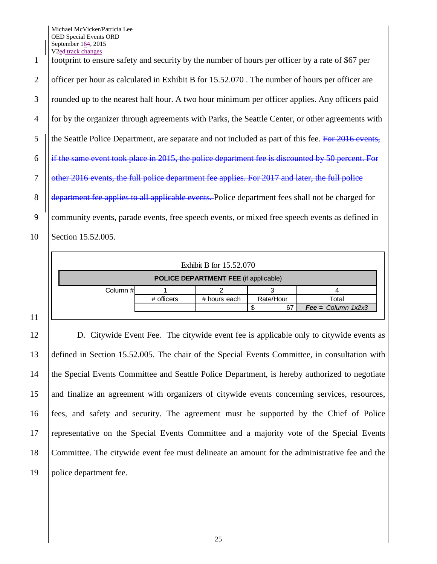Michael McVicker/Patricia Lee OED Special Events ORD September 164, 2015 V2ed track changes

 footprint to ensure safety and security by the number of hours per officer by a rate of \$67 per 2 officer per hour as calculated in Exhibit B for 15.52.070. The number of hours per officer are rounded up to the nearest half hour. A two hour minimum per officer applies. Any officers paid for by the organizer through agreements with Parks, the Seattle Center, or other agreements with || the Seattle Police Department, are separate and not included as part of this fee. For 2016 events,  $\parallel$  if the same event took place in 2015, the police department fee is discounted by 50 percent. For **S** other 2016 events, the full police department fee applies. For 2017 and later, the full police 8 department fee applies to all applicable events. Police department fees shall not be charged for community events, parade events, free speech events, or mixed free speech events as defined in Section 15.52.005.

| Exhibit B for 15.52.070                      |            |              |           |                                         |  |
|----------------------------------------------|------------|--------------|-----------|-----------------------------------------|--|
| <b>POLICE DEPARTMENT FEE (if applicable)</b> |            |              |           |                                         |  |
| Column #                                     |            |              |           |                                         |  |
|                                              | # officers | # hours each | Rate/Hour | Total                                   |  |
|                                              |            |              | 67        | $\textsf{Fee} = \textsf{Column } 1x2x3$ |  |

 D. Citywide Event Fee. The citywide event fee is applicable only to citywide events as defined in Section 15.52.005. The chair of the Special Events Committee, in consultation with the Special Events Committee and Seattle Police Department, is hereby authorized to negotiate and finalize an agreement with organizers of citywide events concerning services, resources, fees, and safety and security. The agreement must be supported by the Chief of Police representative on the Special Events Committee and a majority vote of the Special Events Committee. The citywide event fee must delineate an amount for the administrative fee and the police department fee.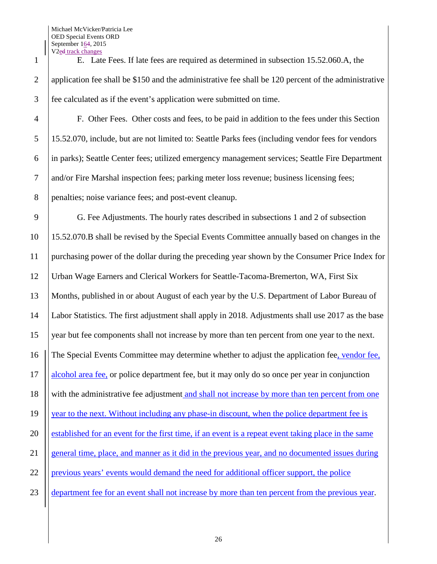Michael McVicker/Patricia Lee OED Special Events ORD September 164, 2015 V2ed track changes

 E. Late Fees. If late fees are required as determined in subsection 15.52.060.A, the application fee shall be \$150 and the administrative fee shall be 120 percent of the administrative fee calculated as if the event's application were submitted on time.

 F. Other Fees. Other costs and fees, to be paid in addition to the fees under this Section 15.52.070, include, but are not limited to: Seattle Parks fees (including vendor fees for vendors in parks); Seattle Center fees; utilized emergency management services; Seattle Fire Department and/or Fire Marshal inspection fees; parking meter loss revenue; business licensing fees; penalties; noise variance fees; and post-event cleanup.

 G. Fee Adjustments. The hourly rates described in subsections 1 and 2 of subsection 15.52.070.B shall be revised by the Special Events Committee annually based on changes in the purchasing power of the dollar during the preceding year shown by the Consumer Price Index for Urban Wage Earners and Clerical Workers for Seattle-Tacoma-Bremerton, WA, First Six Months, published in or about August of each year by the U.S. Department of Labor Bureau of Labor Statistics. The first adjustment shall apply in 2018. Adjustments shall use 2017 as the base year but fee components shall not increase by more than ten percent from one year to the next. The Special Events Committee may determine whether to adjust the application fee, vendor fee, 17 | alcohol area fee, or police department fee, but it may only do so once per year in conjunction 18 | with the administrative fee adjustment and shall not increase by more than ten percent from one 19 | year to the next. Without including any phase-in discount, when the police department fee is 20 established for an event for the first time, if an event is a repeat event taking place in the same general time, place, and manner as it did in the previous year, and no documented issues during 22 | previous years' events would demand the need for additional officer support, the police 23 department fee for an event shall not increase by more than ten percent from the previous year.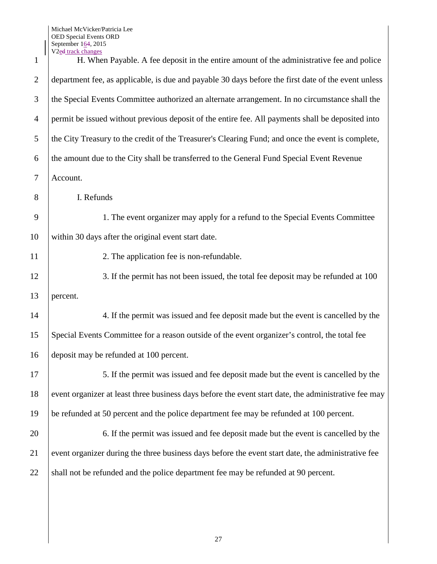| $\mathbf{1}$   | V <sub>2e</sub> d track changes<br>H. When Payable. A fee deposit in the entire amount of the administrative fee and police |
|----------------|-----------------------------------------------------------------------------------------------------------------------------|
| $\overline{2}$ | department fee, as applicable, is due and payable 30 days before the first date of the event unless                         |
| 3              | the Special Events Committee authorized an alternate arrangement. In no circumstance shall the                              |
| 4              | permit be issued without previous deposit of the entire fee. All payments shall be deposited into                           |
| 5              | the City Treasury to the credit of the Treasurer's Clearing Fund; and once the event is complete,                           |
| 6              | the amount due to the City shall be transferred to the General Fund Special Event Revenue                                   |
| $\tau$         | Account.                                                                                                                    |
| 8              | I. Refunds                                                                                                                  |
| 9              | 1. The event organizer may apply for a refund to the Special Events Committee                                               |
| 10             | within 30 days after the original event start date.                                                                         |
| 11             | 2. The application fee is non-refundable.                                                                                   |
| 12             | 3. If the permit has not been issued, the total fee deposit may be refunded at 100                                          |
| 13             | percent.                                                                                                                    |
| 14             | 4. If the permit was issued and fee deposit made but the event is cancelled by the                                          |
| 15             | Special Events Committee for a reason outside of the event organizer's control, the total fee                               |
| 16             | deposit may be refunded at 100 percent.                                                                                     |
| 17             | 5. If the permit was issued and fee deposit made but the event is cancelled by the                                          |
| 18             | event organizer at least three business days before the event start date, the administrative fee may                        |
| 19             | be refunded at 50 percent and the police department fee may be refunded at 100 percent.                                     |
| 20             | 6. If the permit was issued and fee deposit made but the event is cancelled by the                                          |
| 21             | event organizer during the three business days before the event start date, the administrative fee                          |
| 22             | shall not be refunded and the police department fee may be refunded at 90 percent.                                          |
|                |                                                                                                                             |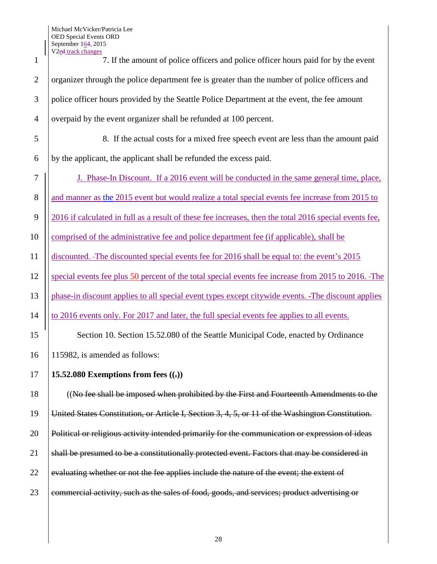| 1              | V <sub>2</sub> ed track changes<br>7. If the amount of police officers and police officer hours paid for by the event |
|----------------|-----------------------------------------------------------------------------------------------------------------------|
| $\overline{2}$ | organizer through the police department fee is greater than the number of police officers and                         |
| 3              | police officer hours provided by the Seattle Police Department at the event, the fee amount                           |
| $\overline{4}$ | overpaid by the event organizer shall be refunded at 100 percent.                                                     |
| 5              | 8. If the actual costs for a mixed free speech event are less than the amount paid                                    |
| 6              | by the applicant, the applicant shall be refunded the excess paid.                                                    |
| $\tau$         | J. Phase-In Discount. If a 2016 event will be conducted in the same general time, place,                              |
| 8              | and manner as the 2015 event but would realize a total special events fee increase from 2015 to                       |
| 9              | 2016 if calculated in full as a result of these fee increases, then the total 2016 special events fee,                |
| 10             | comprised of the administrative fee and police department fee (if applicable), shall be                               |
| 11             | discounted. -The discounted special events fee for 2016 shall be equal to: the event's 2015                           |
| 12             | special events fee plus 50 percent of the total special events fee increase from 2015 to 2016. The                    |
| 13             | phase-in discount applies to all special event types except citywide events. -The discount applies                    |
| 14             | to 2016 events only. For 2017 and later, the full special events fee applies to all events.                           |
| 15             | Section 10. Section 15.52.080 of the Seattle Municipal Code, enacted by Ordinance                                     |
| 16             | 115982, is amended as follows:                                                                                        |
| 17             | 15.52.080 Exemptions from fees $((.)$                                                                                 |
| 18             | ((No fee shall be imposed when prohibited by the First and Fourteenth Amendments to the                               |
| 19             | United States Constitution, or Article I, Section 3, 4, 5, or 11 of the Washington Constitution.                      |
| 20             | Political or religious activity intended primarily for the communication or expression of ideas                       |
| 21             | shall be presumed to be a constitutionally protected event. Factors that may be considered in                         |
| 22             | evaluating whether or not the fee applies include the nature of the event; the extent of                              |
| 23             | commercial activity, such as the sales of food, goods, and services; product advertising or                           |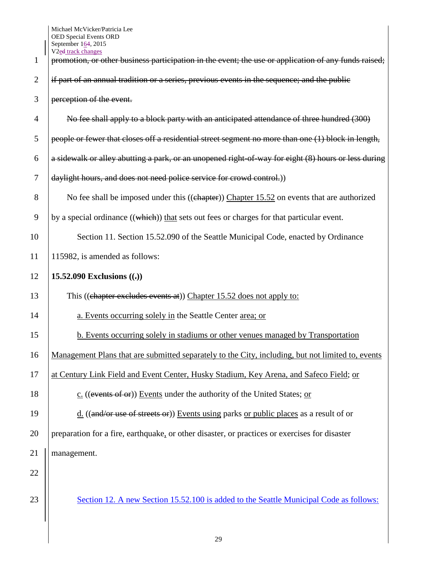|                | V <sub>2ed track changes</sub>                                                                       |
|----------------|------------------------------------------------------------------------------------------------------|
| 1              | promotion, or other business participation in the event; the use or application of any funds raised; |
| $\overline{2}$ | if part of an annual tradition or a series, previous events in the sequence; and the public          |
| 3              | perception of the event.                                                                             |
| 4              | No fee shall apply to a block party with an anticipated attendance of three hundred (300)            |
| 5              | people or fewer that closes off a residential street segment no more than one (1) block in length,   |
| 6              | a sidewalk or alley abutting a park, or an unopened right of way for eight (8) hours or less during  |
| 7              | daylight hours, and does not need police service for crowd control.)                                 |
| 8              | No fee shall be imposed under this ((chapter)) Chapter 15.52 on events that are authorized           |
| 9              | by a special ordinance ((which)) that sets out fees or charges for that particular event.            |
| 10             | Section 11. Section 15.52.090 of the Seattle Municipal Code, enacted by Ordinance                    |
| 11             | 115982, is amended as follows:                                                                       |
| 12             | 15.52.090 Exclusions $((.)$                                                                          |
| 13             | This ((chapter excludes events at)) Chapter 15.52 does not apply to:                                 |
| 14             | a. Events occurring solely in the Seattle Center area; or                                            |
| 15             | b. Events occurring solely in stadiums or other venues managed by Transportation                     |
| 16             | Management Plans that are submitted separately to the City, including, but not limited to, events    |
| 17             | at Century Link Field and Event Center, Husky Stadium, Key Arena, and Safeco Field; or               |
| 18             | c. ((events of or)) Events under the authority of the United States; or                              |
| 19             | d. ((and/or use of streets or)) Events using parks or public places as a result of or                |
| 20             | preparation for a fire, earthquake, or other disaster, or practices or exercises for disaster        |
| 21             | management.                                                                                          |
| 22             |                                                                                                      |
| 23             | Section 12. A new Section 15.52.100 is added to the Seattle Municipal Code as follows:               |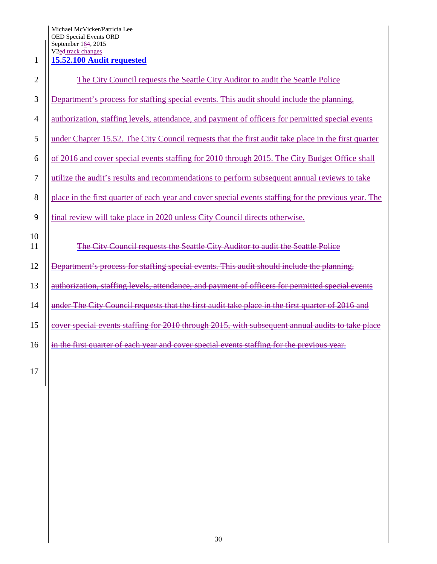Michael McVicker/Patricia Lee OED Special Events ORD September 164, 2015 V<sub>2</sub>ed track changes

## **15.52.100 Audit requested**

| $\overline{c}$ | The City Council requests the Seattle City Auditor to audit the Seattle Police                       |
|----------------|------------------------------------------------------------------------------------------------------|
| 3              | Department's process for staffing special events. This audit should include the planning,            |
| $\overline{4}$ | authorization, staffing levels, attendance, and payment of officers for permitted special events     |
| 5              | under Chapter 15.52. The City Council requests that the first audit take place in the first quarter  |
| 6              | of 2016 and cover special events staffing for 2010 through 2015. The City Budget Office shall        |
| $\overline{7}$ | utilize the audit's results and recommendations to perform subsequent annual reviews to take         |
| 8              | place in the first quarter of each year and cover special events staffing for the previous year. The |
| 9              | final review will take place in 2020 unless City Council directs otherwise.                          |
| 10<br>11       | The City Council requests the Seattle City Auditor to audit the Seattle Police                       |
| 12             | Department's process for staffing special events. This audit should include the planning,            |
| 13             | authorization, staffing levels, attendance, and payment of officers for permitted special events     |
| 14             | under The City Council requests that the first audit take place in the first quarter of 2016 and     |
| 15             | cover special events staffing for 2010 through 2015, with subsequent annual audits to take place     |
| 16             | in the first quarter of each year and cover special events staffing for the previous year.           |
|                |                                                                                                      |